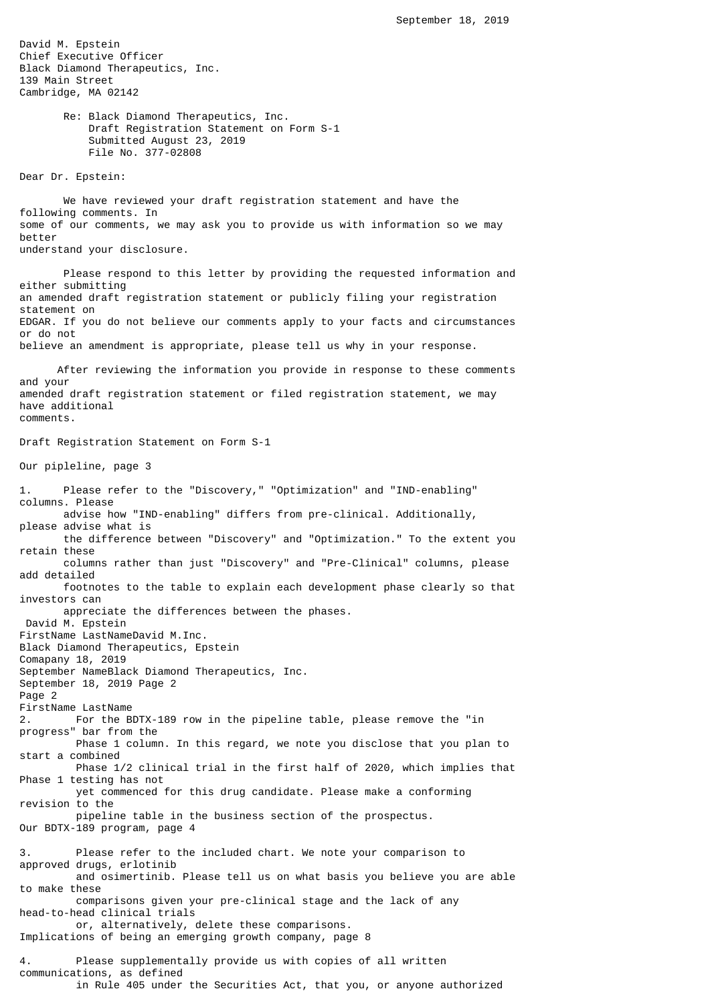David M. Epstein Chief Executive Officer Black Diamond Therapeutics, Inc. 139 Main Street Cambridge, MA 02142

> Re: Black Diamond Therapeutics, Inc. Draft Registration Statement on Form S-1 Submitted August 23, 2019 File No. 377-02808

Dear Dr. Epstein:

 We have reviewed your draft registration statement and have the following comments. In some of our comments, we may ask you to provide us with information so we may better understand your disclosure.

 Please respond to this letter by providing the requested information and either submitting an amended draft registration statement or publicly filing your registration statement on EDGAR. If you do not believe our comments apply to your facts and circumstances or do not believe an amendment is appropriate, please tell us why in your response.

 After reviewing the information you provide in response to these comments and your amended draft registration statement or filed registration statement, we may have additional comments.

Draft Registration Statement on Form S-1

Our pipleline, page 3

1. Please refer to the "Discovery," "Optimization" and "IND-enabling" columns. Please advise how "IND-enabling" differs from pre-clinical. Additionally, please advise what is the difference between "Discovery" and "Optimization." To the extent you retain these columns rather than just "Discovery" and "Pre-Clinical" columns, please add detailed footnotes to the table to explain each development phase clearly so that investors can appreciate the differences between the phases. David M. Epstein FirstName LastNameDavid M.Inc. Black Diamond Therapeutics, Epstein Comapany 18, 2019 September NameBlack Diamond Therapeutics, Inc. September 18, 2019 Page 2 Page 2 FirstName LastName 2. For the BDTX-189 row in the pipeline table, please remove the "in progress" bar from the Phase 1 column. In this regard, we note you disclose that you plan to start a combined Phase 1/2 clinical trial in the first half of 2020, which implies that Phase 1 testing has not yet commenced for this drug candidate. Please make a conforming revision to the pipeline table in the business section of the prospectus. Our BDTX-189 program, page 4 3. Please refer to the included chart. We note your comparison to approved drugs, erlotinib and osimertinib. Please tell us on what basis you believe you are able to make these comparisons given your pre-clinical stage and the lack of any head-to-head clinical trials or, alternatively, delete these comparisons. Implications of being an emerging growth company, page 8 4. Please supplementally provide us with copies of all written communications, as defined in Rule 405 under the Securities Act, that you, or anyone authorized